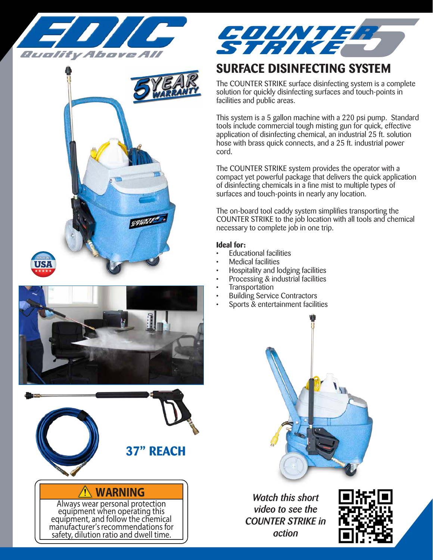







## **WARNING**

Always wear personal protection equipment when operating this equipment, and follow the chemical manufacturer's recommendations for safety, dilution ratio and dwell time.



# **SURFACE DISINFECTING SYSTEM**

The COUNTER STRIKE surface disinfecting system is a complete solution for quickly disinfecting surfaces and touch-points in facilities and public areas.

This system is a 5 gallon machine with a 220 psi pump. Standard tools include commercial tough misting gun for quick, effective application of disinfecting chemical, an industrial 25 ft. solution hose with brass quick connects, and a 25 ft. industrial power cord.

The COUNTER STRIKE system provides the operator with a compact yet powerful package that delivers the quick application of disinfecting chemicals in a fine mist to multiple types of surfaces and touch-points in nearly any location.

The on-board tool caddy system simplifies transporting the COUNTER STRIKE to the job location with all tools and chemical necessary to complete job in one trip.

### **Ideal for:**

- **Educational facilities**
- Medical facilities
- Hospitality and lodging facilities
- Processing & industrial facilities
- **Transportation**
- **Building Service Contractors**
- Sports & entertainment facilities



*Watch this short video to see the COUNTER STRIKE in action*